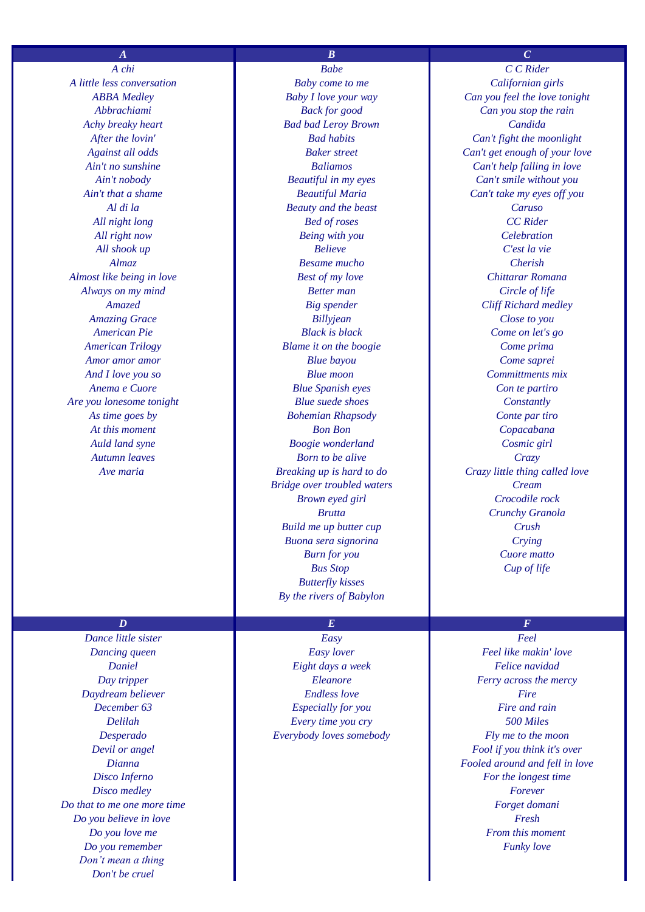*A chi Babe C C Rider A little less conversation Baby come to me Californian girls Almost like being in love Best of my love Chittarar Romana Are you lonesome tonight Blue suede shoes Constantly*

## $D$  *E E E E*

*Disco medley* Forever *Do that to me one more time Forget domani Do you believe in love* Fresh **Fresh** *Fresh* **Fresh Fresh Fresh Fresh** *Do you remember Funky love Don't mean a thing Don't be cruel*

## $A$  *B* **C C**

*Abbrachiami Back for good Can you stop the rain Achy breaky heart Bad bad Leroy Brown Candida Al di la Beauty and the beast Caruso All night long Bed of roses CC Rider All right now Being with you Celebration All shook up Believe C'est la vie Almaz Besame mucho Cherish Always on my mind Better man Circle of life Amazed Big spender Cliff Richard medley Amazing Grace Billyjean Close to you American Pie Black is black Come on let's go American Trilogy Blame it on the boogie Come prima Amor amor amor Blue bayou Come saprei And I love you so Blue moon Committments mix Anema e Cuore Blue Spanish eyes Con te partiro As time goes by Bohemian Rhapsody Conte par tiro At this moment Bon Bon Copacabana Auld land syne Boogie wonderland Cosmic girl Autumn leaves Born to be alive Crazy Bridge over troubled waters Cream Build me up butter cup Crush Buona sera signorina Crying Butterfly kisses By the rivers of Babylon*

*Dance little sister Easy Feel Dancing queen Easy lover Feel like makin' love Daniel Eight days a week Felice navidad Daydream believer Endless love Fire December 63 Especially for you* **<b>Fire and rain** *Delilah Every time you cry 500 Miles Desperado Everybody loves somebody Fly me to the moon*

*ABBA Medley Baby I love your way Can you feel the love tonight After the lovin' Bad habits Can't fight the moonlight Against all odds Baker street Can't get enough of your love Ain't no sunshine Baliamos Can't help falling in love Ain't nobody Beautiful in my eyes Can't smile without you Ain't that a shame Beautiful Maria Can't take my eyes off you Ave maria Breaking up is hard to do Crazy little thing called love Brown eyed girl Crocodile rock Brutta Crunchy Granola Burn for you Cuore matto Bus Stop Cup of life*

*Day tripper Eleanore Ferry across the mercy Devil or angel Fool if you think it's over Dianna Fooled around and fell in love Disco Inferno For the longest time For the longest time Do you love me From this moment*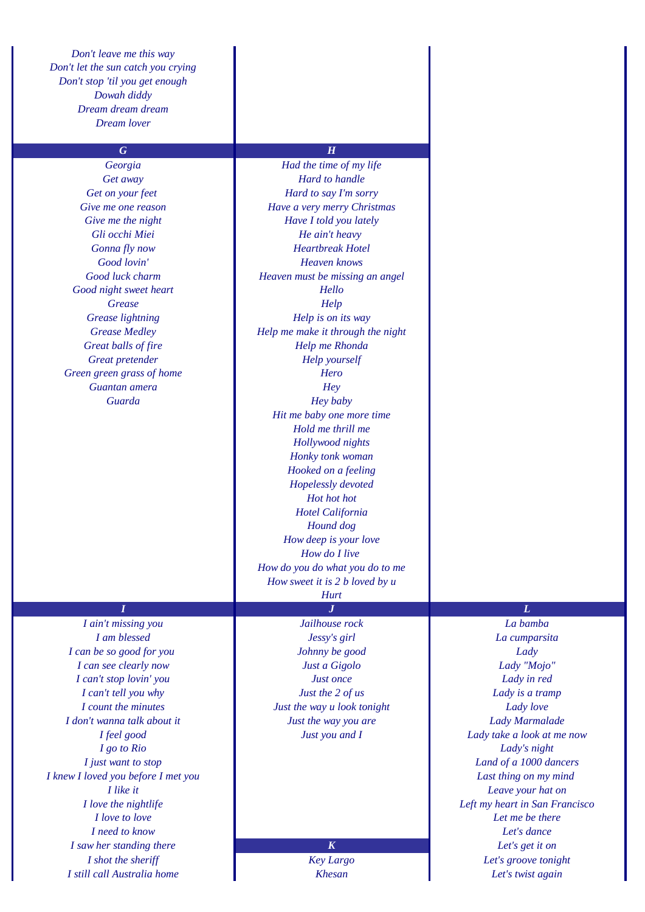*Don't leave me this way Don't let the sun catch you crying Don't stop 'til you get enough Dowah diddy Dream dream dream Dream lover*

*Good night sweet heart Hello Green green grass of home Hero Guantan amera Hey*

## $G$  *H*

*Georgia Had the time of my life Get away Hard to handle Get on your feet Hard to say I'm sorry Give me one reason Have a very merry Christmas Give me the night Have I told you lately Gli occhi Miei He ain't heavy Gonna fly now Heartbreak Hotel Good lovin' Heaven knows Good luck charm Heaven must be missing an angel Grease Help Grease lightning Help is on its way Grease Medley Help me make it through the night Great balls of fire Help me Rhonda Great pretender Help yourself Guarda Hey baby Hit me baby one more time Hold me thrill me Hollywood nights Honky tonk woman Hooked on a feeling Hopelessly devoted Hot hot hot Hotel California Hound dog How deep is your love How do I live How do you do what you do to me How sweet it is 2 b loved by u*

## *Hurt*

*I can be so good for you Johnny be good Lady I can see clearly now Just a Gigolo Lady "Mojo" I can't stop lovin' you Just once Lady in red I don't wanna talk about it Just the way you are Lady Marmalade I go to Rio Lady's night I knew I loved you before I met you Last thing on my mind I love to love Let me be there I need to know Let's dance I saw her standing there K Let's get it on I shot the sheriff Key Largo Let's groove tonight I still call Australia home Khesan Let's twist again*

*I ain't missing you Jailhouse rock La bamba I am blessed Jessy's girl La cumparsita I can't tell you why Just the 2 of us Lady is a tramp I count the minutes Just the way u look tonight Lady love*

# *I J L*

*I feel good Just you and I Lady take a look at me now I just want to stop Land of a 1000 dancers I like it Leave your hat on I love the nightlife Left my heart in San Francisco*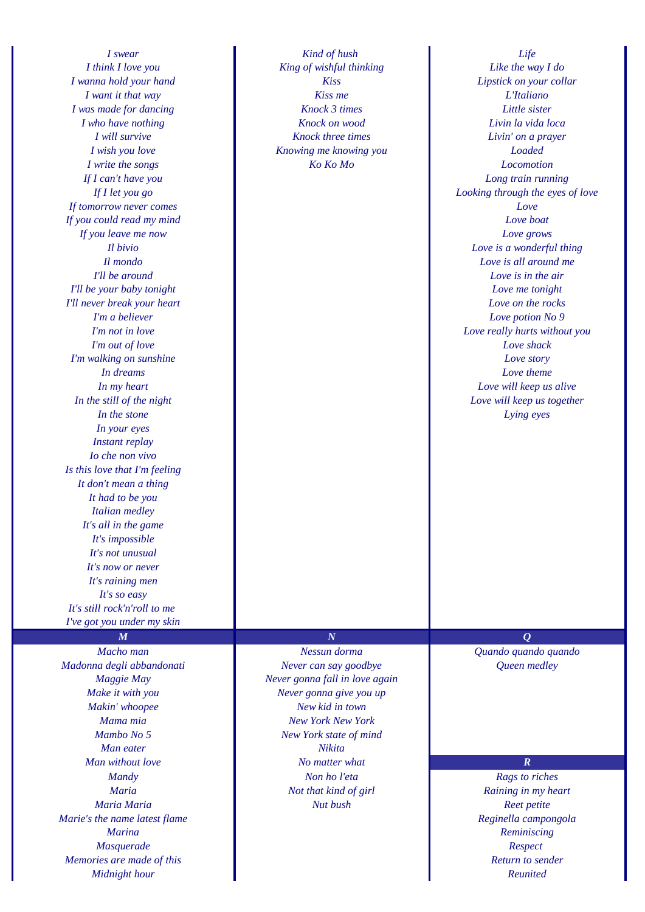*I was made for dancing Knock 3 times Little sister If tomorrow never comes Love If you could read my mind Love boat If you leave me now Love grows I'll be your baby tonight Love me tonight I'll never break your heart Love on the rocks I'm out of love Love shack I'm walking on sunshine Love story In your eyes Instant replay Io che non vivo Is this love that I'm feeling It don't mean a thing It had to be you Italian medley It's all in the game It's impossible It's not unusual It's now or never It's raining men It's so easy It's still rock'n'roll to me I've got you under my skin*

*Madonna degli abbandonati Never can say goodbye Queen medley Makin' whoopee New kid in town Man eater Nikita Marie's the name latest flame Reginella campongola Marina Reminiscing Masquerade Respect Memories are made of this Return to sender Midnight hour Reunited*

*I swear Kind of hush Life I think I love you King of wishful thinking Like the way I do I want it that way Kiss me L'Italiano I who have nothing Knock on wood Livin la vida loca I will survive Knock three times Livin' on a prayer I wish you love Knowing me knowing you Loaded I write the songs Ko Ko Mo Locomotion*

*I wanna hold your hand Kiss Lipstick on your collar If I can't have you Long train running If I let you go Looking through the eyes of love Il bivio Love is a wonderful thing Il mondo Love is all around me I'll be around Love is in the air I'm a believer Love potion No 9 I'm not in love Love really hurts without you In dreams Love theme Love theme Love theme In my heart Love will keep us alive In the still of the night Love will keep us together Love will keep us together In the stone Lying eyes*

*Macho man Nessun dorma Quando quando quando Maggie May Never gonna fall in love again Make it with you Never gonna give you up Mama mia New York New York Mambo No 5 New York state of mind Man without love No matter what R Mandy Non ho l'eta Rags to riches Maria Not that kind of girl Raining in my heart Maria Maria Nut bush Reet petite*

## $M$  and  $N$  and  $Q$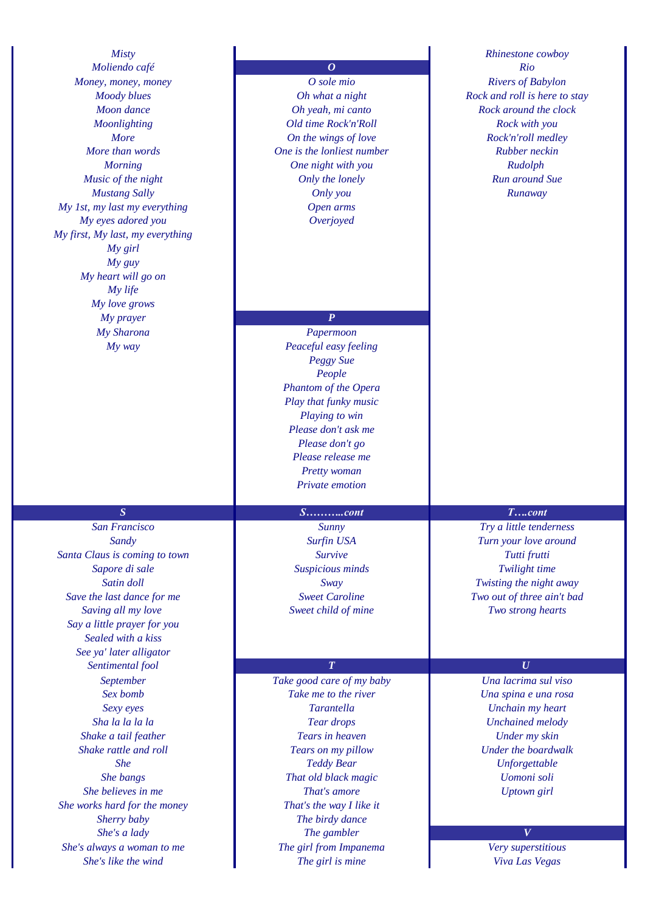*Moliendo café O Rio Money, money O sole mio Rivers of Babylon My 1st, my last my everything Open arms My eyes adored you Overjoyed My first, My last, my everything My girl My guy My heart will go on My life My love grows My prayer* **P** *My Sharona Papermoon*

*Santa Claus is coming to town Survive Tutti frutti Sapore di sale Suspicious minds Twilight time Save the last dance for me Sweet Caroline Two out of three ain't bad Saving all my love Sweet child of mine Two strong hearts Say a little prayer for you Sealed with a kiss See ya' later alligator Sentimental fool* **<b>***T U She works hard for the money That's the way I like it She's always a woman to me The girl from Impanema Very superstitious*

*Moon dance Oh yeah, mi canto**Rock around the clock Moonlighting Old time Rock'n'Roll Rock with you More On the wings of love Rock'n'roll medley More than words One is the lonliest number Rubber neckin Morning One night with you**Rudolph**Rudolph**Rudolph Music of the night Only the lonely Run around Sue Mustang Sally Only you Runaway*

*My way Peaceful easy feeling Peggy Sue People Phantom of the Opera Play that funky music Playing to win Please don't ask me Please don't go Please release me Pretty woman Private emotion*

## *S S………..cont T….cont*

*September Take good care of my baby Una lacrima sul viso Sex bomb Take me to the river Una spina e una rosa Sexy eyes Tarantella Unchain my heart Sha la la la la Tear drops Unchained melody Shake a tail feather Tears in heaven Under my skin Shake rattle and roll Tears on my pillow Under the boardwalk She Teddy Bear Unforgettable She bangs That old black magic Uomoni soli She believes in me That's amore Uptown girl Sherry baby The birdy dance She's a lady The gambler V She's like the wind The girl is mine Viva Las Vegas*

*Misty Rhinestone cowboy Moody blues Oh what a night Rock and roll is here to stay*

*San Francisco Sunny Try a little tenderness Sandy Surfin USA Turn your love around Satin doll Sway Twisting the night away*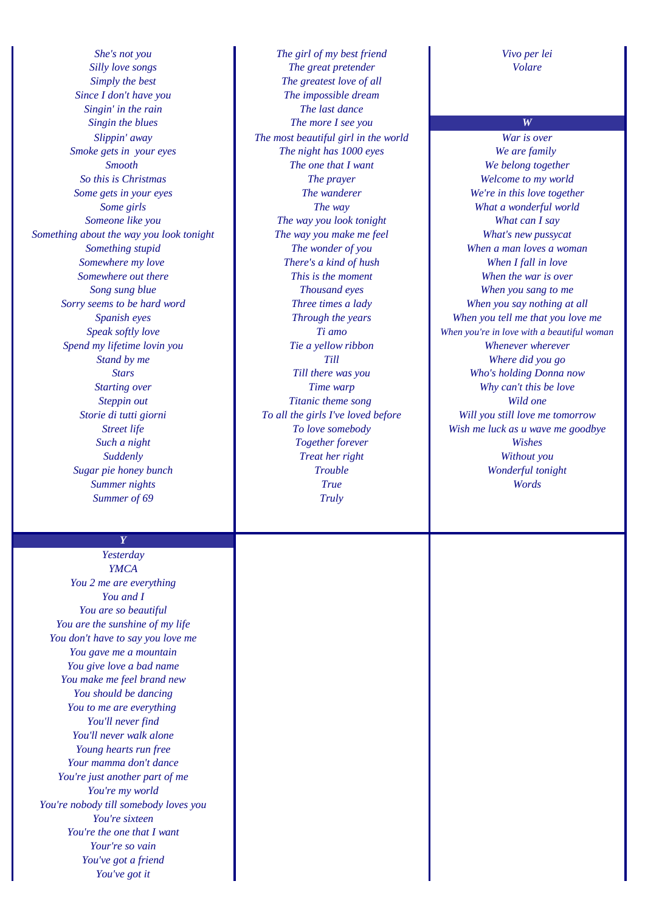*Since I don't have you The impossible dream Singin' in the rain* **The last dance** *Something about the way you look tonight The way you make me feel What's new pussycat Sorry seems to be hard word Three times a lady When you say nothing at all Spend my lifetime lovin you Tie a yellow ribbon Whenever wherever*

> *Y Yesterday*

*YMCA You 2 me are everything You and I You are so beautiful You are the sunshine of my life You don't have to say you love me You gave me a mountain You give love a bad name You make me feel brand new You should be dancing You to me are everything You'll never find You'll never walk alone Young hearts run free Your mamma don't dance You're just another part of me You're my world You're nobody till somebody loves you You're sixteen You're the one that I want Your're so vain You've got a friend You've got it*

*She's not you The girl of my best friend Vivo per lei Silly love songs The great pretender Volare Simply the best The greatest love of all Singin the blues The more I see you W Slippin' away The most beautiful girl in the world War is over Smoke gets in your eyes The night has 1000 eyes We are family Smooth The one that I want We belong together So this is Christmas The prayer Welcome to my world Some gets in your eyes The wanderer We're in this love together Some girls The way What a wonderful world* **Someone like you The way you look tonight** *What can I say Something stupid The wonder of you When a man loves a woman Somewhere my love There's a kind of hush When I fall in love Somewhere out there This is the moment When the war is over Song sung blue Thousand eyes When you sang to me Stand by me Till Where did you go Stars Till there was you Who's holding Donna now Starting over Time warp Why can't this be love* **Steppin out** *Titanic theme song* **Wild one** *Such a night Together forever Wishes Suddenly Treat her right Without you Sugar pie honey bunch Trouble Wonderful tonight Summer nights True Words Summer of 69 Truly*

*Spanish eyes Through the years When you tell me that you love me Speak softly love Ti amo When you're in love with a beautiful woman Storie di tutti giorni To all the girls I've loved before Will you still love me tomorrow Street life To love somebody Wish me luck as u wave me goodbye*